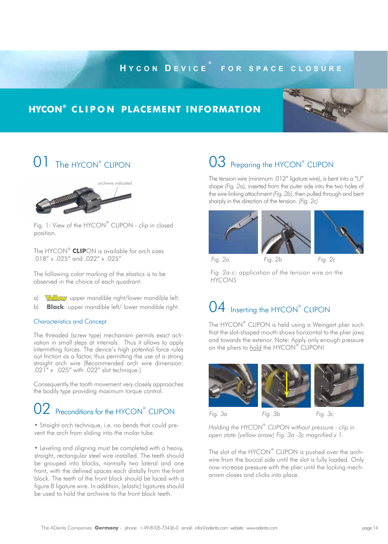## **H y c o n D e v i c e ® f o r s p a c e c l o s u r e**

### **hycon® c l i p o n placement information**







Fig. 1: View of the HYCON® CLIPON - clip in closed position.

The HYCON® **CLIP**ON is available for arch sizes .018" x .025" and .022" x .025"

The following color marking of the elastics is to be observed in the choice of each quadrant:

- a) **Yellow**: upper mandible right/lower mandible left.
- b) **Black**: upper mandible left/ lower mandible right.

### Characteristics and Concept

The threaded (screw type) mechanism permits exact activation in small steps at intervals. Thus it allows to apply intermitting forces. The device's high potential force rules out friction as a factor, thus permitting the use of a strong straight arch wire (Recommended arch wire dimension: .021" x .025" with .022" slot technique.)

Consequently the tooth movement very closely approaches the bodily type providing maximum torque control.

# 02 Preconditions for the HYCON® CLIPON

• Straight arch technique, i.e. no bends that could prevent the arch from sliding into the molar tube.

• Leveling and aligning must be completed with a heavy, straight, rectangular steel wire installed. The teeth should be grouped into blocks, normally two lateral and one front, with the defined spaces each distally from the front block. The teeth of the front block should be laced with a figure 8 ligature wire. In addition, (elastic) ligatures should be used to hold the archwire to the front block teeth.

# 03 Preparing the HYCON® CLIPON

The tension wire (minimum .012" ligature wire), is bent into a "U" shape *(Fig. 2a),* inserted from the outer side into the two holes of the wire linking attachment *(Fig. 2b)*, then pulled through and bent sharply in the direction of the tension. *(Fig. 2c)*



*Fig. 2a-c: application of the tension wire on the HYCONS*

# 04 Inserting the HYCON® CLIPON

The HYCON® CLIPON is held using a Weingart plier such that the slot-shaped mouth shows horizontal to the plier jaws and towards the exterior. Note: Apply only enough pressure on the pliers to hold the HYCON® CLIPON!



*Holding the HYCON*® *CLIPON without pressure - clip in open state (yellow arrow) Fig. 3a -3c magnified x 1.*

The slot of the HYCON® CLIPON is pushed over the archwire from the buccal side until the slot is fully loaded. Only now increase pressure with the plier until the locking mechanism closes and clicks into place.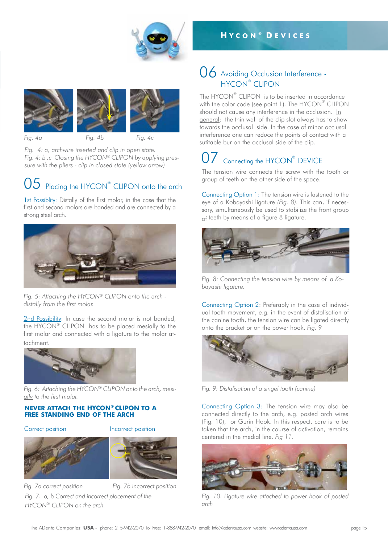



*Fig. 4a Fig. 4b Fig. 4c*

*Fig. 4: a, archwire inserted and clip in open state. Fig. 4: b ,c Closing the HYCON® CLIPON by applying pressure with the pliers - clip in closed state (yellow arrow)*

# $05$  Placing the HYCON® CLIPON onto the arch

1st Possiblity: Distally of the first molar, in the case that the first and second molars are banded and are connected by a strong steel arch.



*Fig. 5: Attaching the HYCON® CLIPON onto the arch distally from the first molar.*

2nd Possibility: In case the second molar is not banded, the HYCON® CLIPON has to be placed mesially to the first molar and connected with a ligature to the molar attachment.



*Fig. 6: Attaching the HYCON® CLIPON onto the arch, mesially to the first molar.* 

### **never attach the HYCON® CLIPON to a free standing end of the arch**

Correct position **Incorrect position** 



*HYCON® CLIPON on the arch.*



*Fig. 7a correct position Fig. 7b incorrect position* 

*Fig. 7: a, b Correct and incorrect placement of the*

### 06 Avoiding Occlusion Interference -HYCON® CLIPON

**H y c o n ® D e v i c e s**

The HYCON® CLIPON is to be inserted in accordance with the color code (see point 1). The <code>HYCON®</code> CLIPON should not cause any interference in the occlusion. In general: the thin wall of the clip slot always has to show towards the occlusal side. In the case of minor occlusal interference one can reduce the points of contact with a sutitable bur on the occlusal side of the clip.

# 07 Connecting the HYCON® DEVICE

The tension wire connects the screw with the tooth or group of teeth on the other side of the space.

Connecting Option 1: The tension wire is fastened to the eye of a Kobayashi ligature *(Fig. 8).* This can, if necessary, simultaneously be used to stabilize the front group of teeth by means of a figure 8 ligature.



*Fig. 8: Connecting the tension wire by means of a Kobayashi ligature.*

Connecting Option 2: Preferably in the case of individual tooth movement, e.g. in the event of distalisation of the canine tooth, the tension wire can be ligated directly onto the bracket or on the power hook. *Fig. 9*



*Fig. 9: Distalisation of a singel tooth (canine)*

Connecting Option 3: The tension wire may also be connected directly to the arch, e.g. posted arch wires (Fig. 10), or Gurin Hook. In this respect, care is to be taken that the arch, in the course of activation, remains centered in the medial line. *Fig 11.*



*Fig. 10: Ligature wire attached to power hook of posted arch*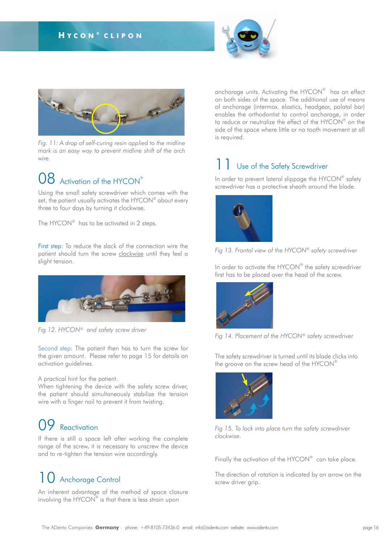### **H y c o n ® c l i p o n**





*Fig. 11: A drop of self-curing resin applied to the midline mark is an easy way to prevent midline shift of the arch wire.*

## 08 Activation of the HYCON®

Using the small safety screwdriver which comes with the set, the patient usually activates the HYCON® about every three to four days by turning it clockwise.

The HYCON® has to be activated in 2 steps.

First step: To reduce the slack of the connection wire the patient should turn the screw clockwise until they feel a slight tension.



*Fig 12. HYCON® and safety screw driver*

Second step: The patient then has to turn the screw for the given amount. Please refer to page 15 for details on activation guidelines.

A practical hint for the patient.

When tightening the device with the safety screw driver, the patient should simultaneously stabilize the tension wire with a finger nail to prevent it from twisting.

## 09 Reactivation

If there is still a space left after working the complete range of the screw, it is necessary to unscrew the device and to re-tighten the tension wire accordingly.

# 10 Anchorage Control

An inherent advantage of the method of space closure involving the HYCON® is that there is less strain upon

anchorage units. Activating the HYCON® has an effect on both sides of the space. The additional use of means of anchorage (intermax. elastics, headgear, palatal bar) enables the orthodontist to control anchorage, in order to reduce or neutralize the effect of the HYCON $^\circ$  on the side of the space where little or no tooth movement at all is required.

## Use of the Safety Screwdriver

In order to prevent lateral slippage the HYCON® safety screwdriver has a protective sheath around the blade.





In order to activate the HYCON® the safety screwdriver first has to be placed over the head of the screw.





The safety screwdriver is turned until its blade clicks into the groove on the screw head of the HYCON®



*Fig 15. To lock into place turn the safety screwdriver clockwise.*

Finally the activation of the HYCON $^{\circ\circ}$  can take place.

The direction of rotation is indicated by an arrow on the screw driver grip.